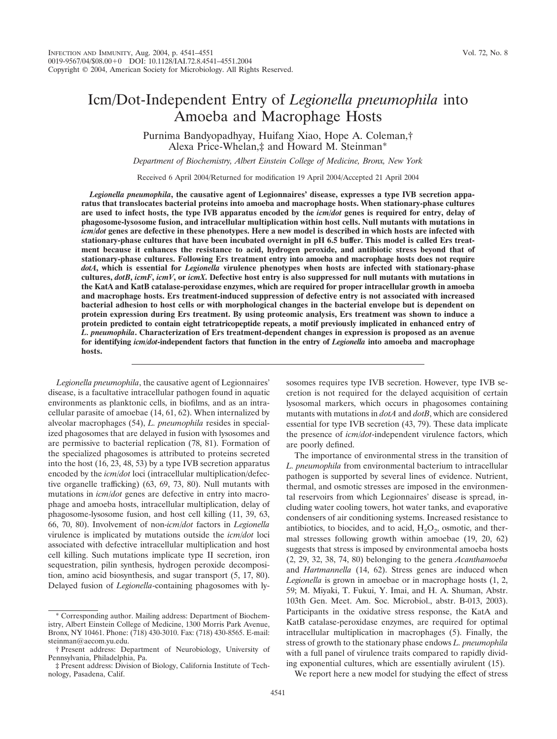# Icm/Dot-Independent Entry of *Legionella pneumophila* into Amoeba and Macrophage Hosts

Purnima Bandyopadhyay, Huifang Xiao, Hope A. Coleman,† Alexa Price-Whelan,‡ and Howard M. Steinman\*

*Department of Biochemistry, Albert Einstein College of Medicine, Bronx, New York*

Received 6 April 2004/Returned for modification 19 April 2004/Accepted 21 April 2004

*Legionella pneumophila***, the causative agent of Legionnaires' disease, expresses a type IVB secretion apparatus that translocates bacterial proteins into amoeba and macrophage hosts. When stationary-phase cultures are used to infect hosts, the type IVB apparatus encoded by the** *icm***/***dot* **genes is required for entry, delay of phagosome-lysosome fusion, and intracellular multiplication within host cells. Null mutants with mutations in** *icm***/***dot* **genes are defective in these phenotypes. Here a new model is described in which hosts are infected with stationary-phase cultures that have been incubated overnight in pH 6.5 buffer. This model is called Ers treatment because it enhances the resistance to acid, hydrogen peroxide, and antibiotic stress beyond that of stationary-phase cultures. Following Ers treatment entry into amoeba and macrophage hosts does not require** *dotA***, which is essential for** *Legionella* **virulence phenotypes when hosts are infected with stationary-phase cultures,** *dotB***,** *icmF***,** *icmV***, or** *icmX***. Defective host entry is also suppressed for null mutants with mutations in the KatA and KatB catalase-peroxidase enzymes, which are required for proper intracellular growth in amoeba and macrophage hosts. Ers treatment-induced suppression of defective entry is not associated with increased bacterial adhesion to host cells or with morphological changes in the bacterial envelope but is dependent on protein expression during Ers treatment. By using proteomic analysis, Ers treatment was shown to induce a protein predicted to contain eight tetratricopeptide repeats, a motif previously implicated in enhanced entry of** *L. pneumophila***. Characterization of Ers treatment-dependent changes in expression is proposed as an avenue for identifying** *icm***/***dot***-independent factors that function in the entry of** *Legionella* **into amoeba and macrophage hosts.**

*Legionella pneumophila*, the causative agent of Legionnaires' disease, is a facultative intracellular pathogen found in aquatic environments as planktonic cells, in biofilms, and as an intracellular parasite of amoebae (14, 61, 62). When internalized by alveolar macrophages (54), *L. pneumophila* resides in specialized phagosomes that are delayed in fusion with lysosomes and are permissive to bacterial replication (78, 81). Formation of the specialized phagosomes is attributed to proteins secreted into the host (16, 23, 48, 53) by a type IVB secretion apparatus encoded by the *icm/dot* loci (intracellular multiplication/defective organelle trafficking) (63, 69, 73, 80). Null mutants with mutations in *icm/dot* genes are defective in entry into macrophage and amoeba hosts, intracellular multiplication, delay of phagosome-lysosome fusion, and host cell killing (11, 39, 63, 66, 70, 80). Involvement of non-*icm*/*dot* factors in *Legionella* virulence is implicated by mutations outside the *icm*/*dot* loci associated with defective intracellular multiplication and host cell killing. Such mutations implicate type II secretion, iron sequestration, pilin synthesis, hydrogen peroxide decomposition, amino acid biosynthesis, and sugar transport (5, 17, 80). Delayed fusion of *Legionella*-containing phagosomes with lysosomes requires type IVB secretion. However, type IVB secretion is not required for the delayed acquisition of certain lysosomal markers, which occurs in phagosomes containing mutants with mutations in *dotA* and *dotB*, which are considered essential for type IVB secretion (43, 79). These data implicate the presence of *icm*/*dot*-independent virulence factors, which are poorly defined.

The importance of environmental stress in the transition of *L. pneumophila* from environmental bacterium to intracellular pathogen is supported by several lines of evidence. Nutrient, thermal, and osmotic stresses are imposed in the environmental reservoirs from which Legionnaires' disease is spread, including water cooling towers, hot water tanks, and evaporative condensers of air conditioning systems. Increased resistance to antibiotics, to biocides, and to acid,  $H_2O_2$ , osmotic, and thermal stresses following growth within amoebae (19, 20, 62) suggests that stress is imposed by environmental amoeba hosts (2, 29, 32, 38, 74, 80) belonging to the genera *Acanthamoeba* and *Hartmannella* (14, 62). Stress genes are induced when *Legionella* is grown in amoebae or in macrophage hosts (1, 2, 59; M. Miyaki, T. Fukui, Y. Imai, and H. A. Shuman, Abstr. 103th Gen. Meet. Am. Soc. Microbiol., abstr. B-013, 2003). Participants in the oxidative stress response, the KatA and KatB catalase-peroxidase enzymes, are required for optimal intracellular multiplication in macrophages (5). Finally, the stress of growth to the stationary phase endows *L. pneumophila* with a full panel of virulence traits compared to rapidly dividing exponential cultures, which are essentially avirulent (15).

We report here a new model for studying the effect of stress

<sup>\*</sup> Corresponding author. Mailing address: Department of Biochemistry, Albert Einstein College of Medicine, 1300 Morris Park Avenue, Bronx, NY 10461. Phone: (718) 430-3010. Fax: (718) 430-8565. E-mail: steinman@aecom.yu.edu.

<sup>†</sup> Present address: Department of Neurobiology, University of Pennsylvania, Philadelphia, Pa.

<sup>‡</sup> Present address: Division of Biology, California Institute of Technology, Pasadena, Calif.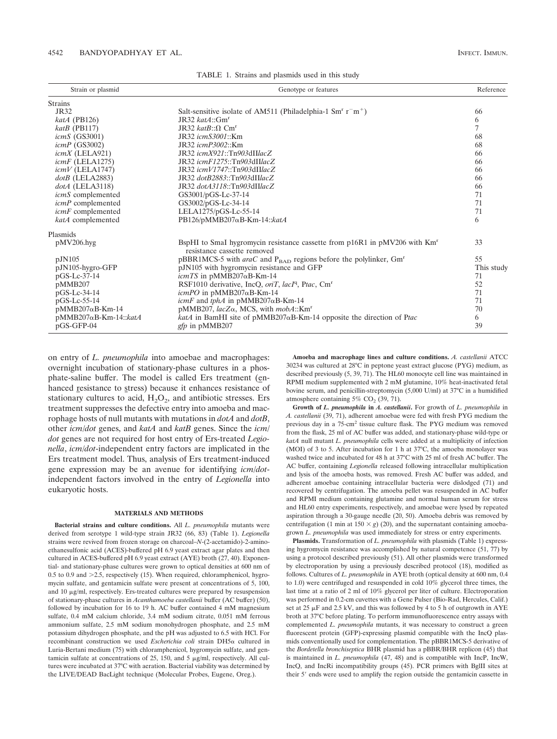| Strain or plasmid       | Genotype or features                                                                                                  |            |  |  |
|-------------------------|-----------------------------------------------------------------------------------------------------------------------|------------|--|--|
| <b>Strains</b>          |                                                                                                                       |            |  |  |
| JR32                    | Salt-sensitive isolate of AM511 (Philadelphia-1 $\text{Sm}^r$ r <sup>-</sup> m <sup>+</sup> )                         | 66         |  |  |
| $k \times A$ (PB126)    | JR32 $katA::Gmr$                                                                                                      | 6          |  |  |
| $katB$ (PB117)          | JR32 $katB::\Omega$ Cm <sup>r</sup>                                                                                   | 7          |  |  |
| $icmS$ (GS3001)         | JR32 icmS3001::Km                                                                                                     | 68         |  |  |
| $icmP$ (GS3002)         | JR32 icmP3002::Km                                                                                                     | 68         |  |  |
| $icmX$ (LELA921)        | JR32 icmX921::Tn903dIIlacZ                                                                                            | 66         |  |  |
| $icmF$ (LELA1275)       | JR32 icmF1275::Tn903dIIlacZ                                                                                           | 66         |  |  |
| $icmV$ (LELA1747)       | JR32 icmV1747::Tn903dIIlacZ                                                                                           | 66         |  |  |
| $dotB$ (LELA2883)       | JR32 dotB2883::Tn903dIIlacZ                                                                                           | 66         |  |  |
| $dotA$ (LELA3118)       | JR32 dotA3118::Tn903dIIlacZ                                                                                           | 66         |  |  |
| icmS complemented       | GS3001/pGS-Lc-37-14                                                                                                   | 71         |  |  |
| icmP complemented       | GS3002/pGS-Lc-34-14                                                                                                   | 71         |  |  |
| $icmF$ complemented     | LELA1275/pGS-Lc-55-14                                                                                                 | 71         |  |  |
| katA complemented       | PB126/pMMB207αB-Km-14::katA                                                                                           | 6          |  |  |
| Plasmids                |                                                                                                                       |            |  |  |
| pMV206.hyg              | BspHI to SmaI hygromycin resistance cassette from p16R1 in pMV206 with Km <sup>r</sup><br>resistance cassette removed | 33         |  |  |
| pJN105                  | pBBR1MCS-5 with <i>araC</i> and $P_{\text{BAD}}$ regions before the polylinker, Gm <sup>r</sup>                       | 55         |  |  |
| pJN105-hygro-GFP        | pJN105 with hygromycin resistance and GFP                                                                             | This study |  |  |
| pGS-Lc-37-14            | $icmTS$ in pMMB207 $\alpha$ B-Km-14                                                                                   | 71         |  |  |
| pMMB207                 | RSF1010 derivative, IncQ, oriT, lacIq, Ptac, Cm <sup>r</sup>                                                          | 52         |  |  |
| pGS-Lc-34-14            | $icmPO$ in pMMB207 $\alpha$ B-Km-14                                                                                   | 71         |  |  |
| pGS-Lc-55-14            | icmF and tphA in pMMB207 $\alpha$ B-Km-14                                                                             | 71         |  |  |
| $pMMB207\alpha B-Km-14$ | pMMB207, $lacZ\alpha$ , MCS, with $mobA::Kmr$                                                                         | 70         |  |  |
| pMMB207αB-Km-14::katA   | <i>katA</i> in BamHI site of $pMMB207\alpha B\text{-Km-14}$ opposite the direction of Ptac                            | 6          |  |  |
| pGS-GFP-04              | gfp in pMMB207                                                                                                        | 39         |  |  |

TABLE 1. Strains and plasmids used in this study

on entry of *L. pneumophila* into amoebae and macrophages: overnight incubation of stationary-phase cultures in a phosphate-saline buffer. The model is called Ers treatment (enhanced resistance to stress) because it enhances resistance of stationary cultures to acid,  $H_2O_2$ , and antibiotic stresses. Ers treatment suppresses the defective entry into amoeba and macrophage hosts of null mutants with mutations in *dotA* and *dotB*, other *icm*/*dot* genes, and *katA* and *katB* genes. Since the *icm*/ *dot* genes are not required for host entry of Ers-treated *Legionella*, *icm*/*dot*-independent entry factors are implicated in the Ers treatment model. Thus, analysis of Ers treatment-induced gene expression may be an avenue for identifying *icm*/*dot*independent factors involved in the entry of *Legionella* into eukaryotic hosts.

### **MATERIALS AND METHODS**

**Bacterial strains and culture conditions.** All *L. pneumophila* mutants were derived from serotype 1 wild-type strain JR32 (66, 83) (Table 1). *Legionella* strains were revived from frozen storage on charcoal–*N*-(2-acetamido)-2-aminoethanesulfonic acid (ACES)-buffered pH 6.9 yeast extract agar plates and then cultured in ACES-buffered pH 6.9 yeast extract (AYE) broth (27, 40). Exponential- and stationary-phase cultures were grown to optical densities at 600 nm of  $0.5$  to  $0.9$  and  $>2.5$ , respectively  $(15)$ . When required, chloramphenicol, hygromycin sulfate, and gentamicin sulfate were present at concentrations of 5, 100, and  $10 \mu g/ml$ , respectively. Ers-treated cultures were prepared by resuspension of stationary-phase cultures in *Acanthamoeba castellanii* buffer (AC buffer) (50), followed by incubation for 16 to 19 h. AC buffer contained 4 mM magnesium sulfate, 0.4 mM calcium chloride, 3.4 mM sodium citrate, 0.051 mM ferrous ammonium sulfate, 2.5 mM sodium monohydrogen phosphate, and 2.5 mM potassium dihydrogen phosphate, and the pH was adjusted to 6.5 with HCl. For recombinant construction we used *Escherichia coli* strain DH5 $\alpha$  cultured in Luria-Bertani medium (75) with chloramphenicol, hygromycin sulfate, and gentamicin sulfate at concentrations of  $25$ ,  $150$ , and  $5 \mu g/ml$ , respectively. All cultures were incubated at 37°C with aeration. Bacterial viability was determined by the LIVE/DEAD BacLight technique (Molecular Probes, Eugene, Oreg.).

**Amoeba and macrophage lines and culture conditions.** *A. castellanii* ATCC 30234 was cultured at 28°C in peptone yeast extract glucose (PYG) medium, as described previously (5, 39, 71). The HL60 monocyte cell line was maintained in RPMI medium supplemented with 2 mM glutamine, 10% heat-inactivated fetal bovine serum, and penicillin-streptomycin (5,000 U/ml) at 37°C in a humidified atmosphere containing  $5\%$  CO<sub>2</sub> (39, 71).

**Growth of** *L. pneumophila* **in** *A. castellanii***.** For growth of *L. pneumophila* in *A. castellanii* (39, 71), adherent amoebae were fed with fresh PYG medium the previous day in a 75-cm<sup>2</sup> tissue culture flask. The PYG medium was removed from the flask, 25 ml of AC buffer was added, and stationary-phase wild-type or *katA* null mutant *L. pneumophila* cells were added at a multiplicity of infection (MOI) of 3 to 5. After incubation for 1 h at 37°C, the amoeba monolayer was washed twice and incubated for 48 h at 37°C with 25 ml of fresh AC buffer. The AC buffer, containing *Legionella* released following intracellular multiplication and lysis of the amoeba hosts, was removed. Fresh AC buffer was added, and adherent amoebae containing intracellular bacteria were dislodged (71) and recovered by centrifugation. The amoeba pellet was resuspended in AC buffer and RPMI medium containing glutamine and normal human serum for stress and HL60 entry experiments, respectively, and amoebae were lysed by repeated aspiration through a 30-gauge needle (20, 50). Amoeba debris was removed by centrifugation (1 min at  $150 \times g$ ) (20), and the supernatant containing amoebagrown *L. pneumophila* was used immediately for stress or entry experiments.

**Plasmids.** Transformation of *L. pneumophila* with plasmids (Table 1) expressing hygromycin resistance was accomplished by natural competence (51, 77) by using a protocol described previously (51). All other plasmids were transformed by electroporation by using a previously described protocol (18), modified as follows. Cultures of *L. pneumophila* in AYE broth (optical density at 600 nm, 0.4 to 1.0) were centrifuged and resuspended in cold 10% glycerol three times, the last time at a ratio of 2 ml of 10% glycerol per liter of culture. Electroporation was performed in 0.2-cm cuvettes with a Gene Pulser (Bio-Rad, Hercules, Calif.) set at 25  $\mu$ F and 2.5 kV, and this was followed by 4 to 5 h of outgrowth in AYE broth at 37°C before plating. To perform immunofluorescence entry assays with complemented *L. pneumophila* mutants, it was necessary to construct a green fluorescent protein (GFP)-expressing plasmid compatible with the IncQ plasmids conventionally used for complementation. The pBBR1MCS-5 derivative of the *Bordetella bronchiseptica* BHR plasmid has a pBBR/BHR replicon (45) that is maintained in *L. pneumophila* (47, 48) and is compatible with IncP, IncW, IncQ, and IncRi incompatibility groups (45). PCR primers with BglII sites at their 5' ends were used to amplify the region outside the gentamicin cassette in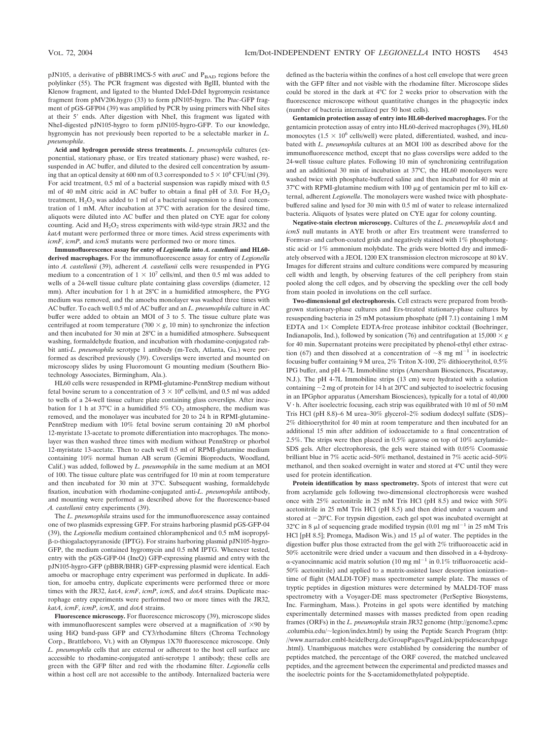pJN105, a derivative of pBBR1MCS-5 with *araC* and P<sub>BAD</sub> regions before the polylinker (55). The PCR fragment was digested with BglII, blunted with the Klenow fragment, and ligated to the blunted DdeI-DdeI hygromycin resistance fragment from pMV206.hygro (33) to form pJN105-hygro. The P*tac*-GFP fragment of pGS-GFP04 (39) was amplified by PCR by using primers with NheI sites at their 5' ends. After digestion with NheI, this fragment was ligated with NheI-digested pJN105-hygro to form pJN105-hygro-GFP. To our knowledge, hygromycin has not previously been reported to be a selectable marker in *L. pneumophila*.

**Acid and hydrogen peroxide stress treatments.** *L. pneumophila* cultures (exponential, stationary phase, or Ers treated stationary phase) were washed, resuspended in AC buffer, and diluted to the desired cell concentration by assuming that an optical density at 600 nm of 0.3 corresponded to  $5 \times 10^8$  CFU/ml (39). For acid treatment, 0.5 ml of a bacterial suspension was rapidly mixed with 0.5 ml of 40 mM citric acid in AC buffer to obtain a final pH of 3.0. For  $H_2O_2$ treatment,  $H_2O_2$  was added to 1 ml of a bacterial suspension to a final concentration of 1 mM. After incubation at 37°C with aeration for the desired time, aliquots were diluted into AC buffer and then plated on CYE agar for colony counting. Acid and  $H_2O_2$  stress experiments with wild-type strain JR32 and the *katA* mutant were performed three or more times. Acid stress experiments with *icmF*, *icmP*, and *icmS* mutants were performed two or more times.

**Immunofluorescence assay for entry of** *Legionella* **into** *A. castellanii* **and HL60 derived macrophages.** For the immunofluorescence assay for entry of *Legionella* into *A. castellanii* (39), adherent *A. castellanii* cells were resuspended in PYG medium to a concentration of  $1 \times 10^7$  cells/ml, and then 0.5 ml was added to wells of a 24-well tissue culture plate containing glass coverslips (diameter, 12 mm). After incubation for 1 h at 28°C in a humidified atmosphere, the PYG medium was removed, and the amoeba monolayer was washed three times with AC buffer. To each well 0.5 ml of AC buffer and an *L. pneumophila* culture in AC buffer were added to obtain an MOI of 3 to 5. The tissue culture plate was centrifuged at room temperature (700  $\times$  *g*, 10 min) to synchronize the infection and then incubated for 30 min at 28°C in a humidified atmosphere. Subsequent washing, formaldehyde fixation, and incubation with rhodamine-conjugated rabbit anti-*L. pneumophila* serotype 1 antibody (m-Tech, Atlanta, Ga.) were performed as described previously (39). Coverslips were inverted and mounted on microscopy slides by using Fluoromount G mounting medium (Southern Biotechnology Associates, Birmingham, Ala.).

HL60 cells were resuspended in RPMI-glutamine-PennStrep medium without fetal bovine serum to a concentration of  $3 \times 10^6$  cells/ml, and 0.5 ml was added to wells of a 24-well tissue culture plate containing glass coverslips. After incubation for 1 h at 37 $\degree$ C in a humidified 5% CO<sub>2</sub> atmosphere, the medium was removed, and the monolayer was incubated for 20 to 24 h in RPMI-glutamine-PennStrep medium with 10% fetal bovine serum containing 20 nM phorbol 12-myristate 13-acetate to promote differentiation into macrophages. The monolayer was then washed three times with medium without PennStrep or phorbol 12-myristate 13-acetate. Then to each well 0.5 ml of RPMI-glutamine medium containing 10% normal human AB serum (Gemini Bioproducts, Woodland, Calif.) was added, followed by *L. pneumophila* in the same medium at an MOI of 100. The tissue culture plate was centrifuged for 10 min at room temperature and then incubated for 30 min at 37°C. Subsequent washing, formaldehyde fixation, incubation with rhodamine-conjugated anti-*L. pneumophila* antibody, and mounting were performed as described above for the fluorescence-based *A. castellanii* entry experiments (39).

The *L. pneumophila* strains used for the immunofluorescence assay contained one of two plasmids expressing GFP. For strains harboring plasmid pGS-GFP-04 (39), the *Legionella* medium contained chloramphenicol and 0.5 mM isopropyl- -D-thiogalactopyranoside (IPTG). For strains harboring plasmid pJN105-hygro-GFP, the medium contained hygromycin and 0.5 mM IPTG. Whenever tested, entry with the pGS-GFP-04 (IncQ) GFP-expressing plasmid and entry with the pJN105-hygro-GFP (pBBR/BHR) GFP-expressing plasmid were identical. Each amoeba or macrophage entry experiment was performed in duplicate. In addition, for amoeba entry, duplicate experiments were performed three or more times with the JR32, *katA*, *icmF*, *icmP*, *icmS*, and *dotA* strains. Duplicate macrophage entry experiments were performed two or more times with the JR32, *katA*, *icmF*, *icmP*, *icmX*, and *dotA* strains.

**Fluorescence microscopy.** For fluorescence microscopy (39), microscope slides with immunofluorescent samples were observed at a magnification of  $\times 90$  by using HiQ band-pass GFP and CY3/rhodamine filters (Chroma Technology Corp., Brattleboro, Vt.) with an Olympus 1X70 fluorescence microscope. Only *L. pneumophila* cells that are external or adherent to the host cell surface are accessible to rhodamine-conjugated anti-serotype 1 antibody; these cells are green with the GFP filter and red with the rhodamine filter. *Legionella* cells within a host cell are not accessible to the antibody. Internalized bacteria were

defined as the bacteria within the confines of a host cell envelope that were green with the GFP filter and not visible with the rhodamine filter. Microscope slides could be stored in the dark at 4°C for 2 weeks prior to observation with the fluorescence microscope without quantitative changes in the phagocytic index (number of bacteria internalized per 50 host cells).

**Gentamicin protection assay of entry into HL60-derived macrophages.** For the gentamicin protection assay of entry into HL60-derived macrophages (39), HL60 monocytes ( $1.5 \times 10^6$  cells/well) were plated, differentiated, washed, and incubated with *L. pneumophila* cultures at an MOI 100 as described above for the immunofluorescence method, except that no glass coverslips were added to the 24-well tissue culture plates. Following 10 min of synchronizing centrifugation and an additional 30 min of incubation at 37°C, the HL60 monolayers were washed twice with phosphate-buffered saline and then incubated for 40 min at  $37^{\circ}$ C with RPMI-glutamine medium with 100  $\mu$ g of gentamicin per ml to kill external, adherent *Legionella*. The monolayers were washed twice with phosphatebuffered saline and lysed for 30 min with 0.5 ml of water to release internalized bacteria. Aliquots of lysates were plated on CYE agar for colony counting.

**Negative-stain electron microscopy.** Cultures of the *L. pneumophila dotA* and *icmS* null mutants in AYE broth or after Ers treatment were transferred to Formvar- and carbon-coated grids and negatively stained with 1% phosphotungstic acid or 1% ammonium molybdate. The grids were blotted dry and immediately observed with a JEOL 1200 EX transmission electron microscope at 80 kV. Images for different strains and culture conditions were compared by measuring cell width and length, by observing features of the cell periphery from stain pooled along the cell edges, and by observing the speckling over the cell body from stain pooled in involutions on the cell surface.

**Two-dimensional gel electrophoresis.** Cell extracts were prepared from brothgrown stationary-phase cultures and Ers-treated stationary-phase cultures by resuspending bacteria in 25 mM potassium phosphate (pH 7.1) containing 1 mM EDTA and  $1\times$  Complete EDTA-free protease inhibitor cocktail (Boehringer, Indianapolis, Ind.), followed by sonication (76) and centrifugation at  $15,000 \times g$ for 40 min. Supernatant proteins were precipitated by phenol-ethyl ether extraction (67) and then dissolved at a concentration of  $\sim$ 8 mg ml<sup>-1</sup> in isoelectric focusing buffer containing 9 M urea, 2% Triton X-100, 2% dithioerythritol, 0.5% IPG buffer, and pH 4-7L Immobiline strips (Amersham Biosciences, Piscataway, N.J.). The pH 4-7L Immobiline strips (13 cm) were hydrated with a solution containing 2 mg of protein for 14 h at 20°C and subjected to isoelectric focusing in an IPGphor apparatus (Amersham Biosciences), typically for a total of 40,000 V h. After isoelectric focusing, each strip was equilibrated with 10 ml of 50 mM Tris HCl (pH 8.8)–6 M urea–30% glycerol–2% sodium dodecyl sulfate (SDS)– 2% dithioerythritol for 40 min at room temperature and then incubated for an additional 15 min after addition of iodoacetamide to a final concentration of 2.5%. The strips were then placed in 0.5% agarose on top of 10% acrylamide– SDS gels. After electrophoresis, the gels were stained with 0.05% Coomassie brilliant blue in 7% acetic acid–50% methanol, destained in 7% acetic acid–50% methanol, and then soaked overnight in water and stored at 4°C until they were used for protein identification.

**Protein identification by mass spectrometry.** Spots of interest that were cut from acrylamide gels following two-dimensional electrophoresis were washed once with 25% acetonitrile in 25 mM Tris HCl (pH 8.5) and twice with 50% acetonitrile in 25 mM Tris HCl (pH 8.5) and then dried under a vacuum and stored at  $-20^{\circ}$ C. For trypsin digestion, each gel spot was incubated overnight at 32°C in 8 µl of sequencing grade modified trypsin (0.01 mg ml<sup>-1</sup> in 25 mM Tris HCl [pH 8.5]; Promega, Madison Wis.) and 15  $\mu$ l of water. The peptides in the digestion buffer plus those extracted from the gel with 2% trifluoroacetic acid in 50% acetonitrile were dried under a vacuum and then dissolved in a 4-hydroxy-  $\alpha$ -cyanocinnamic acid matrix solution (10 mg ml<sup>-1</sup> in 0.1% trifluoroacetic acid– 50% acetonitrile) and applied to a matrix-assisted laser desorption ionization– time of flight (MALDI-TOF) mass spectrometer sample plate. The masses of tryptic peptides in digestion mixtures were determined by MALDI-TOF mass spectrometry with a Voyager-DE mass spectrometer (PerSeptive Biosystems, Inc. Farmingham, Mass.). Proteins in gel spots were identified by matching experimentally determined masses with masses predicted from open reading frames (ORFs) in the *L. pneumophila* strain JR32 genome (http://genome3.cpmc .columbia.edu/ legion/index.html) by using the Peptide Search Program (http: //www.narrador.embl-heidelberg.de/GroupPages/PageLink/peptidesearchpage .html). Unambiguous matches were established by considering the number of peptides matched, the percentage of the ORF covered, the matched uncleaved peptides, and the agreement between the experimental and predicted masses and the isoelectric points for the S-acetamidomethylated polypeptide.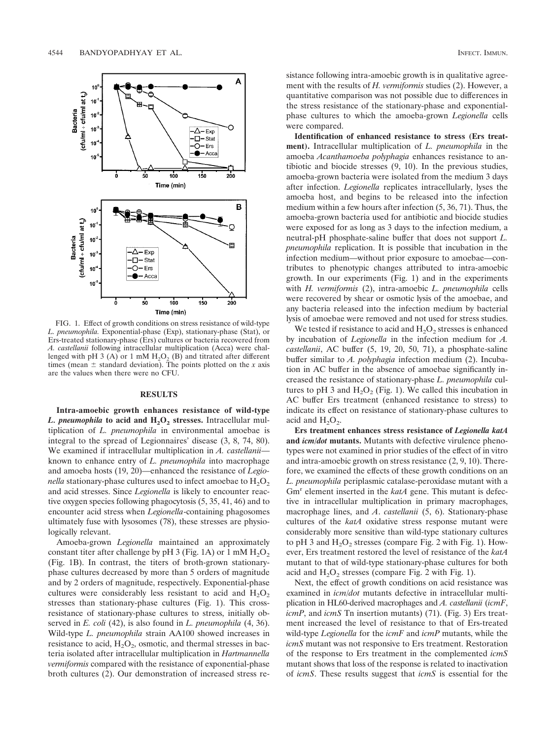

FIG. 1. Effect of growth conditions on stress resistance of wild-type *L. pneumophila.* Exponential-phase (Exp), stationary-phase (Stat), or Ers-treated stationary-phase (Ers) cultures or bacteria recovered from *A. castellanii* following intracellular multiplication (Acca) were challenged with pH 3 (A) or 1 mM  $H_2O_2$  (B) and titrated after different times (mean  $\pm$  standard deviation). The points plotted on the *x* axis are the values when there were no CFU.

## **RESULTS**

**Intra-amoebic growth enhances resistance of wild-type** *L. pneumophila* to acid and  $H_2O_2$  stresses. Intracellular multiplication of *L. pneumophila* in environmental amoebae is integral to the spread of Legionnaires' disease (3, 8, 74, 80). We examined if intracellular multiplication in *A. castellanii* known to enhance entry of *L. pneumophila* into macrophage and amoeba hosts (19, 20)—enhanced the resistance of *Legionella* stationary-phase cultures used to infect amoebae to  $H_2O_2$ and acid stresses. Since *Legionella* is likely to encounter reactive oxygen species following phagocytosis (5, 35, 41, 46) and to encounter acid stress when *Legionella*-containing phagosomes ultimately fuse with lysosomes (78), these stresses are physiologically relevant.

Amoeba-grown *Legionella* maintained an approximately constant titer after challenge by  $pH$  3 (Fig. 1A) or 1 mM  $H_2O_2$ (Fig. 1B). In contrast, the titers of broth-grown stationaryphase cultures decreased by more than 5 orders of magnitude and by 2 orders of magnitude, respectively. Exponential-phase cultures were considerably less resistant to acid and  $H_2O_2$ stresses than stationary-phase cultures (Fig. 1). This crossresistance of stationary-phase cultures to stress, initially observed in *E. coli* (42), is also found in *L. pneumophila* (4, 36). Wild-type *L. pneumophila* strain AA100 showed increases in resistance to acid,  $H_2O_2$ , osmotic, and thermal stresses in bacteria isolated after intracellular multiplication in *Hartmannella vermiformis* compared with the resistance of exponential-phase broth cultures (2). Our demonstration of increased stress resistance following intra-amoebic growth is in qualitative agreement with the results of *H. vermiformis* studies (2). However, a quantitative comparison was not possible due to differences in the stress resistance of the stationary-phase and exponentialphase cultures to which the amoeba-grown *Legionella* cells were compared.

**Identification of enhanced resistance to stress (Ers treatment).** Intracellular multiplication of *L. pneumophila* in the amoeba *Acanthamoeba polyphagia* enhances resistance to antibiotic and biocide stresses (9, 10). In the previous studies, amoeba-grown bacteria were isolated from the medium 3 days after infection. *Legionella* replicates intracellularly, lyses the amoeba host, and begins to be released into the infection medium within a few hours after infection (5, 36, 71). Thus, the amoeba-grown bacteria used for antibiotic and biocide studies were exposed for as long as 3 days to the infection medium, a neutral-pH phosphate-saline buffer that does not support *L. pneumophila* replication. It is possible that incubation in the infection medium—without prior exposure to amoebae—contributes to phenotypic changes attributed to intra-amoebic growth. In our experiments (Fig. 1) and in the experiments with *H. vermiformis* (2), intra-amoebic *L. pneumophila* cells were recovered by shear or osmotic lysis of the amoebae, and any bacteria released into the infection medium by bacterial lysis of amoebae were removed and not used for stress studies.

We tested if resistance to acid and  $H_2O_2$  stresses is enhanced by incubation of *Legionella* in the infection medium for *A. castellanii*, AC buffer (5, 19, 20, 50, 71), a phosphate-saline buffer similar to *A. polyphagia* infection medium (2). Incubation in AC buffer in the absence of amoebae significantly increased the resistance of stationary-phase *L. pneumophila* cultures to pH 3 and  $H_2O_2$  (Fig. 1). We called this incubation in AC buffer Ers treatment (enhanced resistance to stress) to indicate its effect on resistance of stationary-phase cultures to acid and  $H_2O_2$ .

**Ers treatment enhances stress resistance of** *Legionella katA* **and** *icm***/***dot* **mutants.** Mutants with defective virulence phenotypes were not examined in prior studies of the effect of in vitro and intra-amoebic growth on stress resistance (2, 9, 10). Therefore, we examined the effects of these growth conditions on an *L. pneumophila* periplasmic catalase-peroxidase mutant with a Gm<sup>r</sup> element inserted in the *katA* gene. This mutant is defective in intracellular multiplication in primary macrophages, macrophage lines, and *A*. *castellanii* (5, 6). Stationary-phase cultures of the *katA* oxidative stress response mutant were considerably more sensitive than wild-type stationary cultures to pH 3 and  $H_2O_2$  stresses (compare Fig. 2 with Fig. 1). However, Ers treatment restored the level of resistance of the *katA* mutant to that of wild-type stationary-phase cultures for both acid and  $H_2O_2$  stresses (compare Fig. 2 with Fig. 1).

Next, the effect of growth conditions on acid resistance was examined in *icm*/*dot* mutants defective in intracellular multiplication in HL60-derived macrophages and *A. castellanii* (*icmF*, *icmP*, and *icmS* Tn insertion mutants) (71). (Fig. 3) Ers treatment increased the level of resistance to that of Ers-treated wild-type *Legionella* for the *icmF* and *icmP* mutants, while the *icmS* mutant was not responsive to Ers treatment. Restoration of the response to Ers treatment in the complemented *icmS* mutant shows that loss of the response is related to inactivation of *icmS*. These results suggest that *icmS* is essential for the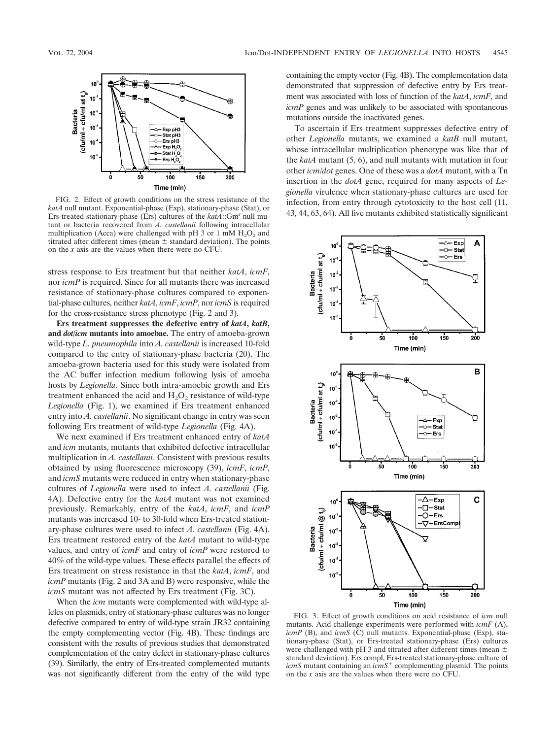

FIG. 2. Effect of growth conditions on the stress resistance of the *katA* null mutant. Exponential-phase (Exp), stationary-phase (Stat), or Ers-treated stationary-phase (Ers) cultures of the  $k \alpha t A$ ::Gm<sup>r</sup> null mutant or bacteria recovered from *A. castellanii* following intracellular multiplication (Acca) were challenged with pH 3 or 1 mM  $H_2O_2$  and titrated after different times (mean  $\pm$  standard deviation). The points on the *x* axis are the values when there were no CFU.

stress response to Ers treatment but that neither *katA*, *icmF*, nor *icmP* is required. Since for all mutants there was increased resistance of stationary-phase cultures compared to exponential-phase cultures, neither *katA*, *icmF*, *icmP*, nor *icmS* is required for the cross-resistance stress phenotype (Fig. 2 and 3).

**Ers treatment suppresses the defective entry of** *katA***,** *katB***, and** *dot***/***icm* **mutants into amoebae.** The entry of amoeba-grown wild-type *L. pneumophila* into *A. castellanii* is increased 10-fold compared to the entry of stationary-phase bacteria (20). The amoeba-grown bacteria used for this study were isolated from the AC buffer infection medium following lysis of amoeba hosts by *Legionella*. Since both intra-amoebic growth and Ers treatment enhanced the acid and  $H<sub>2</sub>O<sub>2</sub>$  resistance of wild-type *Legionella* (Fig. 1), we examined if Ers treatment enhanced entry into *A. castellanii*. No significant change in entry was seen following Ers treatment of wild-type *Legionella* (Fig. 4A).

We next examined if Ers treatment enhanced entry of *katA* and *icm* mutants, mutants that exhibited defective intracellular multiplication in *A. castellanii*. Consistent with previous results obtained by using fluorescence microscopy (39), *icmF*, *icmP*, and *icmS* mutants were reduced in entry when stationary-phase cultures of *Legionella* were used to infect *A. castellanii* (Fig. 4A). Defective entry for the *katA* mutant was not examined previously. Remarkably, entry of the *katA*, *icmF*, and *icmP* mutants was increased 10- to 30-fold when Ers-treated stationary-phase cultures were used to infect *A. castellanii* (Fig. 4A). Ers treatment restored entry of the *katA* mutant to wild-type values, and entry of *icmF* and entry of *icmP* were restored to 40% of the wild-type values. These effects parallel the effects of Ers treatment on stress resistance in that the *katA*, *icmF*, and *icmP* mutants (Fig. 2 and 3A and B) were responsive, while the *icmS* mutant was not affected by Ers treatment (Fig. 3C).

When the *icm* mutants were complemented with wild-type alleles on plasmids, entry of stationary-phase cultures was no longer defective compared to entry of wild-type strain JR32 containing the empty complementing vector (Fig. 4B). These findings are consistent with the results of previous studies that demonstrated complementation of the entry defect in stationary-phase cultures (39). Similarly, the entry of Ers-treated complemented mutants was not significantly different from the entry of the wild type

containing the empty vector (Fig. 4B). The complementation data demonstrated that suppression of defective entry by Ers treatment was associated with loss of function of the *katA*, *icmF*, and *icmP* genes and was unlikely to be associated with spontaneous mutations outside the inactivated genes.

To ascertain if Ers treatment suppresses defective entry of other *Legionella* mutants, we examined a *katB* null mutant, whose intracellular multiplication phenotype was like that of the *katA* mutant (5, 6), and null mutants with mutation in four other *icm*/*dot* genes. One of these was a *dotA* mutant, with a Tn insertion in the *dotA* gene, required for many aspects of *Legionella* virulence when stationary-phase cultures are used for infection, from entry through cytotoxicity to the host cell (11, 43, 44, 63, 64). All five mutants exhibited statistically significant



FIG. 3. Effect of growth conditions on acid resistance of *icm* null mutants. Acid challenge experiments were performed with *icmF* (A), *icmP* (B), and *icmS* (C) null mutants. Exponential-phase (Exp), stationary-phase (Stat), or Ers-treated stationary-phase (Ers) cultures were challenged with pH 3 and titrated after different times (mean  $\pm$ standard deviation). Ers compl, Ers-treated stationary-phase culture of *icmS* mutant containing an *icmS*<sup>+</sup> complementing plasmid. The points on the *x* axis are the values when there were no CFU.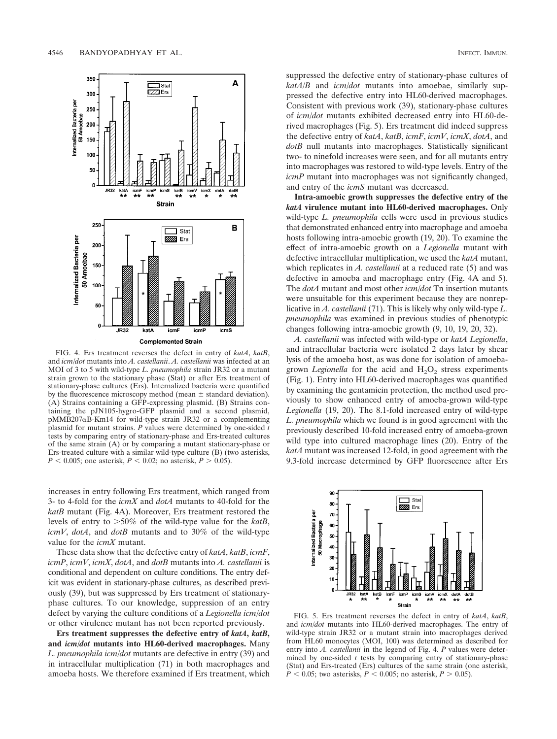

FIG. 4. Ers treatment reverses the defect in entry of *katA*, *katB*, and *icm*/*dot* mutants into *A. castellanii*. *A. castellanii* was infected at an MOI of 3 to 5 with wild-type *L. pneumophila* strain JR32 or a mutant strain grown to the stationary phase (Stat) or after Ers treatment of stationary-phase cultures (Ers). Internalized bacteria were quantified by the fluorescence microscopy method (mean  $\pm$  standard deviation). (A) Strains containing a GFP-expressing plasmid. (B) Strains containing the pJN105-hygro-GFP plasmid and a second plasmid,  $pMMB207\alpha B-Km14$  for wild-type strain JR32 or a complementing plasmid for mutant strains. *P* values were determined by one-sided *t* tests by comparing entry of stationary-phase and Ers-treated cultures of the same strain (A) or by comparing a mutant stationary-phase or Ers-treated culture with a similar wild-type culture (B) (two asterisks,  $P < 0.005$ ; one asterisk,  $P < 0.02$ ; no asterisk,  $P > 0.05$ ).

increases in entry following Ers treatment, which ranged from 3- to 4-fold for the *icmX* and *dotA* mutants to 40-fold for the *katB* mutant (Fig. 4A). Moreover, Ers treatment restored the levels of entry to -50% of the wild-type value for the *katB*, *icmV*, *dotA*, and *dotB* mutants and to 30% of the wild-type value for the *icmX* mutant.

These data show that the defective entry of *katA*, *katB*, *icmF*, *icmP*, *icmV*, *icmX*, *dotA*, and *dotB* mutants into *A. castellanii* is conditional and dependent on culture conditions. The entry deficit was evident in stationary-phase cultures, as described previously (39), but was suppressed by Ers treatment of stationaryphase cultures. To our knowledge, suppression of an entry defect by varying the culture conditions of a *Legionella icm*/*dot* or other virulence mutant has not been reported previously.

**Ers treatment suppresses the defective entry of** *katA***,** *katB***, and** *icm/dot* **mutants into HL60-derived macrophages.** Many *L. pneumophila icm*/*dot* mutants are defective in entry (39) and in intracellular multiplication (71) in both macrophages and amoeba hosts. We therefore examined if Ers treatment, which suppressed the defective entry of stationary-phase cultures of *katA*/*B* and *icm*/*dot* mutants into amoebae, similarly suppressed the defective entry into HL60-derived macrophages. Consistent with previous work (39), stationary-phase cultures of *icm*/*dot* mutants exhibited decreased entry into HL60-derived macrophages (Fig. 5). Ers treatment did indeed suppress the defective entry of *katA*, *katB*, *icmF*, *icmV*, *icmX*, *dotA*, and *dotB* null mutants into macrophages. Statistically significant two- to ninefold increases were seen, and for all mutants entry into macrophages was restored to wild-type levels. Entry of the *icmP* mutant into macrophages was not significantly changed, and entry of the *icmS* mutant was decreased.

**Intra-amoebic growth suppresses the defective entry of the** *katA* **virulence mutant into HL60-derived macrophages.** Only wild-type *L. pneumophila* cells were used in previous studies that demonstrated enhanced entry into macrophage and amoeba hosts following intra-amoebic growth (19, 20). To examine the effect of intra-amoebic growth on a *Legionella* mutant with defective intracellular multiplication, we used the *katA* mutant, which replicates in *A. castellanii* at a reduced rate (5) and was defective in amoeba and macrophage entry (Fig. 4A and 5). The *dotA* mutant and most other *icm*/*dot* Tn insertion mutants were unsuitable for this experiment because they are nonreplicative in *A. castellanii* (71). This is likely why only wild-type *L. pneumophila* was examined in previous studies of phenotypic changes following intra-amoebic growth (9, 10, 19, 20, 32).

*A. castellanii* was infected with wild-type or *katA Legionella*, and intracellular bacteria were isolated 2 days later by shear lysis of the amoeba host, as was done for isolation of amoebagrown *Legionella* for the acid and  $H_2O_2$  stress experiments (Fig. 1). Entry into HL60-derived macrophages was quantified by examining the gentamicin protection, the method used previously to show enhanced entry of amoeba-grown wild-type *Legionella* (19, 20). The 8.1-fold increased entry of wild-type *L. pneumophila* which we found is in good agreement with the previously described 10-fold increased entry of amoeba-grown wild type into cultured macrophage lines (20). Entry of the *katA* mutant was increased 12-fold, in good agreement with the 9.3-fold increase determined by GFP fluorescence after Ers



FIG. 5. Ers treatment reverses the defect in entry of *katA*, *katB*, and *icm*/*dot* mutants into HL60-derived macrophages. The entry of wild-type strain JR32 or a mutant strain into macrophages derived from HL60 monocytes (MOI, 100) was determined as described for entry into *A. castellanii* in the legend of Fig. 4. *P* values were determined by one-sided *t* tests by comparing entry of stationary-phase (Stat) and Ers-treated (Ers) cultures of the same strain (one asterisk,  $P < 0.05$ ; two asterisks,  $P < 0.005$ ; no asterisk,  $P > 0.05$ ).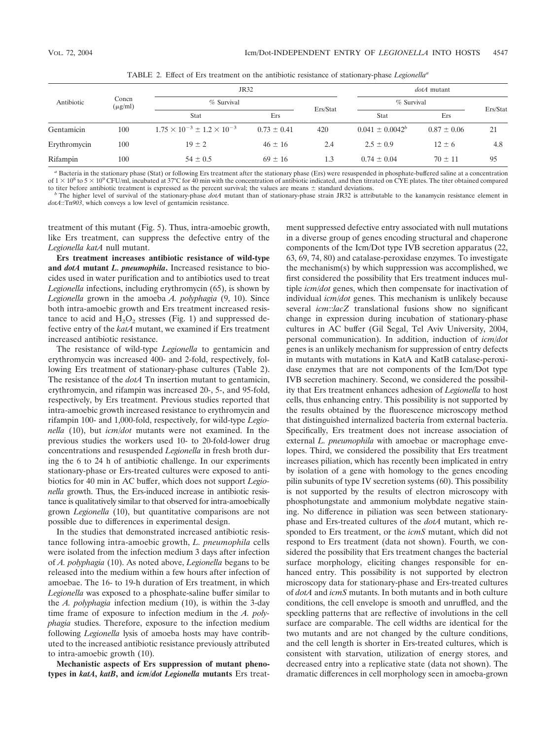| Antibiotic   | Concn<br>$(\mu g/ml)$ | JR32                                         |                 |          | $dotA$ mutant        |                 |          |  |  |  |
|--------------|-----------------------|----------------------------------------------|-----------------|----------|----------------------|-----------------|----------|--|--|--|
|              |                       | $%$ Survival                                 |                 |          | $%$ Survival         |                 |          |  |  |  |
|              |                       | <b>Stat</b>                                  | Ers             | Ers/Stat | Stat                 | Ers             | Ers/Stat |  |  |  |
| Gentamicin   | 100                   | $1.75 \times 10^{-3} \pm 1.2 \times 10^{-3}$ | $0.73 \pm 0.41$ | 420      | $0.041 \pm 0.0042^b$ | $0.87 \pm 0.06$ | 21       |  |  |  |
| Erythromycin | 100                   | $19 \pm 2$                                   | $46 \pm 16$     | 2.4      | $2.5 \pm 0.9$        | $12 \pm 6$      | 4.8      |  |  |  |
| Rifampin     | 100                   | $54 \pm 0.5$                                 | $69 \pm 16$     | 1.3      | $0.74 \pm 0.04$      | $70 \pm 11$     | 95       |  |  |  |

TABLE 2. Effect of Ers treatment on the antibiotic resistance of stationary-phase *Legionellaa*

*<sup>a</sup>* Bacteria in the stationary phase (Stat) or following Ers treatment after the stationary phase (Ers) were resuspended in phosphate-buffered saline at a concentration of  $1 \times 10^8$  to  $5 \times 10^9$  CFU/ml, incubated at 37°C for 40 min with the concentration of antibiotic indicated, and then titrated on CYE plates. The titer obtained compared to titer before antibiotic treatment is express

The higher level of survival of the stationary-phase dotA mutant than of stationary-phase strain JR32 is attributable to the kanamycin resistance element in *dotA*::Tn*903*, which conveys a low level of gentamicin resistance.

treatment of this mutant (Fig. 5). Thus, intra-amoebic growth, like Ers treatment, can suppress the defective entry of the *Legionella katA* null mutant.

**Ers treatment increases antibiotic resistance of wild-type and** *dotA* **mutant** *L. pneumophila***.** Increased resistance to biocides used in water purification and to antibiotics used to treat *Legionella* infections, including erythromycin (65), is shown by *Legionella* grown in the amoeba *A. polyphagia* (9, 10). Since both intra-amoebic growth and Ers treatment increased resistance to acid and  $H_2O_2$  stresses (Fig. 1) and suppressed defective entry of the *katA* mutant, we examined if Ers treatment increased antibiotic resistance.

The resistance of wild-type *Legionella* to gentamicin and erythromycin was increased 400- and 2-fold, respectively, following Ers treatment of stationary-phase cultures (Table 2). The resistance of the *dotA* Tn insertion mutant to gentamicin, erythromycin, and rifampin was increased 20-, 5-, and 95-fold, respectively, by Ers treatment. Previous studies reported that intra-amoebic growth increased resistance to erythromycin and rifampin 100- and 1,000-fold, respectively, for wild-type *Legionella* (10), but *icm*/*dot* mutants were not examined. In the previous studies the workers used 10- to 20-fold-lower drug concentrations and resuspended *Legionella* in fresh broth during the 6 to 24 h of antibiotic challenge. In our experiments stationary-phase or Ers-treated cultures were exposed to antibiotics for 40 min in AC buffer, which does not support *Legionella* growth. Thus, the Ers-induced increase in antibiotic resistance is qualitatively similar to that observed for intra-amoebically grown *Legionella* (10), but quantitative comparisons are not possible due to differences in experimental design.

In the studies that demonstrated increased antibiotic resistance following intra-amoebic growth, *L. pneumophila* cells were isolated from the infection medium 3 days after infection of *A. polyphagia* (10). As noted above, *Legionella* begans to be released into the medium within a few hours after infection of amoebae. The 16- to 19-h duration of Ers treatment, in which *Legionella* was exposed to a phosphate-saline buffer similar to the *A. polyphagia* infection medium (10), is within the 3-day time frame of exposure to infection medium in the *A. polyphagia* studies. Therefore, exposure to the infection medium following *Legionella* lysis of amoeba hosts may have contributed to the increased antibiotic resistance previously attributed to intra-amoebic growth (10).

**Mechanistic aspects of Ers suppression of mutant phenotypes in** *katA***,** *katB***, and** *icm***/***dot Legionella* **mutants** Ers treatment suppressed defective entry associated with null mutations in a diverse group of genes encoding structural and chaperone components of the Icm/Dot type IVB secretion apparatus (22, 63, 69, 74, 80) and catalase-peroxidase enzymes. To investigate the mechanism(s) by which suppression was accomplished, we first considered the possibility that Ers treatment induces multiple *icm*/*dot* genes, which then compensate for inactivation of individual *icm*/*dot* genes. This mechanism is unlikely because several *icm*::*lacZ* translational fusions show no significant change in expression during incubation of stationary-phase cultures in AC buffer (Gil Segal, Tel Aviv University, 2004, personal communication). In addition, induction of *icm*/*dot* genes is an unlikely mechanism for suppression of entry defects in mutants with mutations in KatA and KatB catalase-peroxidase enzymes that are not components of the Icm/Dot type IVB secretion machinery. Second, we considered the possibility that Ers treatment enhances adhesion of *Legionella* to host cells, thus enhancing entry. This possibility is not supported by the results obtained by the fluorescence microscopy method that distinguished internalized bacteria from external bacteria. Specifically, Ers treatment does not increase association of external *L. pneumophila* with amoebae or macrophage envelopes. Third, we considered the possibility that Ers treatment increases piliation, which has recently been implicated in entry by isolation of a gene with homology to the genes encoding pilin subunits of type IV secretion systems (60). This possibility is not supported by the results of electron microscopy with phosphotungstate and ammonium molybdate negative staining. No difference in piliation was seen between stationaryphase and Ers-treated cultures of the *dotA* mutant, which responded to Ers treatment, or the *icmS* mutant, which did not respond to Ers treatment (data not shown). Fourth, we considered the possibility that Ers treatment changes the bacterial surface morphology, eliciting changes responsible for enhanced entry. This possibility is not supported by electron microscopy data for stationary-phase and Ers-treated cultures of *dotA* and *icmS* mutants. In both mutants and in both culture conditions, the cell envelope is smooth and unruffled, and the speckling patterns that are reflective of involutions in the cell surface are comparable. The cell widths are identical for the two mutants and are not changed by the culture conditions, and the cell length is shorter in Ers-treated cultures, which is consistent with starvation, utilization of energy stores, and decreased entry into a replicative state (data not shown). The dramatic differences in cell morphology seen in amoeba-grown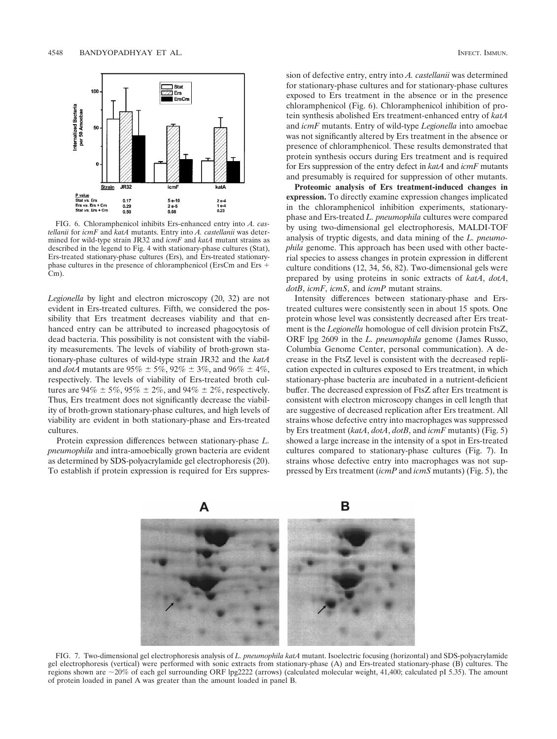

FIG. 6. Chloramphenicol inhibits Ers-enhanced entry into *A. castellanii* for *icmF* and *katA* mutants. Entry into *A. castellanii* was determined for wild-type strain JR32 and *icmF* and *katA* mutant strains as described in the legend to Fig. 4 with stationary-phase cultures (Stat), Ers-treated stationary-phase cultures (Ers), and Ers-treated stationaryphase cultures in the presence of chloramphenicol (ErsCm and Ers Cm).

*Legionella* by light and electron microscopy (20, 32) are not evident in Ers-treated cultures. Fifth, we considered the possibility that Ers treatment decreases viability and that enhanced entry can be attributed to increased phagocytosis of dead bacteria. This possibility is not consistent with the viability measurements. The levels of viability of broth-grown stationary-phase cultures of wild-type strain JR32 and the *katA* and *dotA* mutants are  $95\% \pm 5\%$ ,  $92\% \pm 3\%$ , and  $96\% \pm 4\%$ , respectively. The levels of viability of Ers-treated broth cultures are  $94\% \pm 5\%$ ,  $95\% \pm 2\%$ , and  $94\% \pm 2\%$ , respectively. Thus, Ers treatment does not significantly decrease the viability of broth-grown stationary-phase cultures, and high levels of viability are evident in both stationary-phase and Ers-treated cultures.

Protein expression differences between stationary-phase *L. pneumophila* and intra-amoebically grown bacteria are evident as determined by SDS-polyacrylamide gel electrophoresis (20). To establish if protein expression is required for Ers suppres-

sion of defective entry, entry into *A. castellanii* was determined for stationary-phase cultures and for stationary-phase cultures exposed to Ers treatment in the absence or in the presence chloramphenicol (Fig. 6). Chloramphenicol inhibition of protein synthesis abolished Ers treatment-enhanced entry of *katA* and *icmF* mutants. Entry of wild-type *Legionella* into amoebae was not significantly altered by Ers treatment in the absence or presence of chloramphenicol. These results demonstrated that protein synthesis occurs during Ers treatment and is required for Ers suppression of the entry defect in *katA* and *icmF* mutants and presumably is required for suppression of other mutants.

**Proteomic analysis of Ers treatment-induced changes in expression.** To directly examine expression changes implicated in the chloramphenicol inhibition experiments, stationaryphase and Ers-treated *L. pneumophila* cultures were compared by using two-dimensional gel electrophoresis, MALDI-TOF analysis of tryptic digests, and data mining of the *L. pneumophila* genome. This approach has been used with other bacterial species to assess changes in protein expression in different culture conditions (12, 34, 56, 82). Two-dimensional gels were prepared by using proteins in sonic extracts of *katA*, *dotA*, *dotB*, *icmF*, *icmS*, and *icmP* mutant strains.

Intensity differences between stationary-phase and Erstreated cultures were consistently seen in about 15 spots. One protein whose level was consistently decreased after Ers treatment is the *Legionella* homologue of cell division protein FtsZ, ORF lpg 2609 in the *L. pneumophila* genome (James Russo, Columbia Genome Center, personal communication). A decrease in the FtsZ level is consistent with the decreased replication expected in cultures exposed to Ers treatment, in which stationary-phase bacteria are incubated in a nutrient-deficient buffer. The decreased expression of FtsZ after Ers treatment is consistent with electron microscopy changes in cell length that are suggestive of decreased replication after Ers treatment. All strains whose defective entry into macrophages was suppressed by Ers treatment (*katA*, *dotA*, *dotB*, and *icmF* mutants) (Fig. 5) showed a large increase in the intensity of a spot in Ers-treated cultures compared to stationary-phase cultures (Fig. 7). In strains whose defective entry into macrophages was not suppressed by Ers treatment (*icmP* and *icmS* mutants) (Fig. 5), the



FIG. 7. Two-dimensional gel electrophoresis analysis of *L. pneumophila katA* mutant. Isoelectric focusing (horizontal) and SDS-polyacrylamide gel electrophoresis (vertical) were performed with sonic extracts from stationary-phase (A) and Ers-treated stationary-phase (B) cultures. The regions shown are ~20% of each gel surrounding ORF lpg2222 (arrows) (calculated molecular weight, 41,400; calculated pI 5.35). The amount of protein loaded in panel A was greater than the amount loaded in panel B.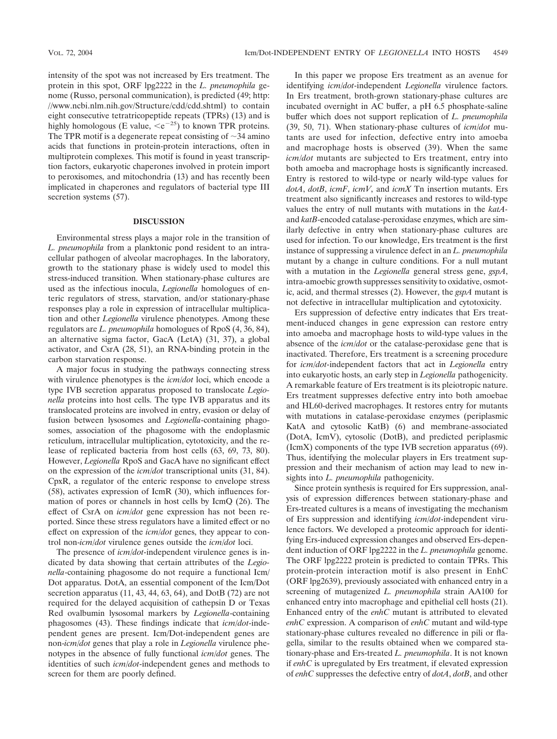intensity of the spot was not increased by Ers treatment. The protein in this spot, ORF lpg2222 in the *L. pneumophila* genome (Russo, personal communication), is predicted (49; http: //www.ncbi.nlm.nih.gov/Structure/cdd/cdd.shtml) to contain eight consecutive tetratricopeptide repeats (TPRs) (13) and is highly homologous (E value,  $\langle e^{-25} \rangle$  to known TPR proteins. The TPR motif is a degenerate repeat consisting of  $\sim$ 34 amino acids that functions in protein-protein interactions, often in multiprotein complexes. This motif is found in yeast transcription factors, eukaryotic chaperones involved in protein import to peroxisomes, and mitochondria (13) and has recently been implicated in chaperones and regulators of bacterial type III secretion systems (57).

# **DISCUSSION**

Environmental stress plays a major role in the transition of *L. pneumophila* from a planktonic pond resident to an intracellular pathogen of alveolar macrophages. In the laboratory, growth to the stationary phase is widely used to model this stress-induced transition. When stationary-phase cultures are used as the infectious inocula, *Legionella* homologues of enteric regulators of stress, starvation, and/or stationary-phase responses play a role in expression of intracellular multiplication and other *Legionella* virulence phenotypes. Among these regulators are *L. pneumophila* homologues of RpoS (4, 36, 84), an alternative sigma factor, GacA (LetA) (31, 37), a global activator, and CsrA (28, 51), an RNA-binding protein in the carbon starvation response.

A major focus in studying the pathways connecting stress with virulence phenotypes is the *icm*/*dot* loci, which encode a type IVB secretion apparatus proposed to translocate *Legionella* proteins into host cells. The type IVB apparatus and its translocated proteins are involved in entry, evasion or delay of fusion between lysosomes and *Legionella*-containing phagosomes, association of the phagosome with the endoplasmic reticulum, intracellular multiplication, cytotoxicity, and the release of replicated bacteria from host cells (63, 69, 73, 80). However, *Legionella* RpoS and GacA have no significant effect on the expression of the *icm*/*dot* transcriptional units (31, 84). CpxR, a regulator of the enteric response to envelope stress (58), activates expression of IcmR (30), which influences formation of pores or channels in host cells by IcmQ (26). The effect of CsrA on *icm*/*dot* gene expression has not been reported. Since these stress regulators have a limited effect or no effect on expression of the *icm*/*dot* genes, they appear to control non-*icm*/*dot* virulence genes outside the *icm*/*dot* loci.

The presence of *icm*/*dot*-independent virulence genes is indicated by data showing that certain attributes of the *Legionella*-containing phagosome do not require a functional Icm/ Dot apparatus. DotA, an essential component of the Icm/Dot secretion apparatus (11, 43, 44, 63, 64), and DotB (72) are not required for the delayed acquisition of cathepsin D or Texas Red ovalbumin lysosomal markers by *Legionella*-containing phagosomes (43). These findings indicate that *icm*/*dot*-independent genes are present. Icm/Dot-independent genes are non-*icm*/*dot* genes that play a role in *Legionella* virulence phenotypes in the absence of fully functional *icm*/*dot* genes. The identities of such *icm*/*dot*-independent genes and methods to screen for them are poorly defined.

In this paper we propose Ers treatment as an avenue for identifying *icm*/*dot*-independent *Legionella* virulence factors. In Ers treatment, broth-grown stationary-phase cultures are incubated overnight in AC buffer, a pH 6.5 phosphate-saline buffer which does not support replication of *L. pneumophila* (39, 50, 71). When stationary-phase cultures of *icm*/*dot* mutants are used for infection, defective entry into amoeba and macrophage hosts is observed (39). When the same *icm*/*dot* mutants are subjected to Ers treatment, entry into both amoeba and macrophage hosts is significantly increased. Entry is restored to wild-type or nearly wild-type values for *dotA*, *dotB*, *icmF*, *icmV*, and *icmX* Tn insertion mutants. Ers treatment also significantly increases and restores to wild-type values the entry of null mutants with mutations in the *katA*and *katB*-encoded catalase-peroxidase enzymes, which are similarly defective in entry when stationary-phase cultures are used for infection. To our knowledge, Ers treatment is the first instance of suppressing a virulence defect in an *L. pneumophila* mutant by a change in culture conditions. For a null mutant with a mutation in the *Legionella* general stress gene, *gspA*, intra-amoebic growth suppresses sensitivity to oxidative, osmotic, acid, and thermal stresses (2). However, the *gspA* mutant is not defective in intracellular multiplication and cytotoxicity.

Ers suppression of defective entry indicates that Ers treatment-induced changes in gene expression can restore entry into amoeba and macrophage hosts to wild-type values in the absence of the *icm*/*dot* or the catalase-peroxidase gene that is inactivated. Therefore, Ers treatment is a screening procedure for *icm*/*dot*-independent factors that act in *Legionella* entry into eukaryotic hosts, an early step in *Legionella* pathogenicity. A remarkable feature of Ers treatment is its pleiotropic nature. Ers treatment suppresses defective entry into both amoebae and HL60-derived macrophages. It restores entry for mutants with mutations in catalase-peroxidase enzymes (periplasmic KatA and cytosolic KatB) (6) and membrane-associated (DotA, IcmV), cytosolic (DotB), and predicted periplasmic (IcmX) components of the type IVB secretion apparatus (69). Thus, identifying the molecular players in Ers treatment suppression and their mechanism of action may lead to new insights into *L. pneumophila* pathogenicity.

Since protein synthesis is required for Ers suppression, analysis of expression differences between stationary-phase and Ers-treated cultures is a means of investigating the mechanism of Ers suppression and identifying *icm*/*dot*-independent virulence factors. We developed a proteomic approach for identifying Ers-induced expression changes and observed Ers-dependent induction of ORF lpg2222 in the *L. pneumophila* genome. The ORF lpg2222 protein is predicted to contain TPRs. This protein-protein interaction motif is also present in EnhC (ORF lpg2639), previously associated with enhanced entry in a screening of mutagenized *L. pneumophila* strain AA100 for enhanced entry into macrophage and epithelial cell hosts (21). Enhanced entry of the *enhC* mutant is attributed to elevated *enhC* expression. A comparison of *enhC* mutant and wild-type stationary-phase cultures revealed no difference in pili or flagella, similar to the results obtained when we compared stationary-phase and Ers-treated *L. pneumophila*. It is not known if *enhC* is upregulated by Ers treatment, if elevated expression of *enhC* suppresses the defective entry of *dotA*, *dotB*, and other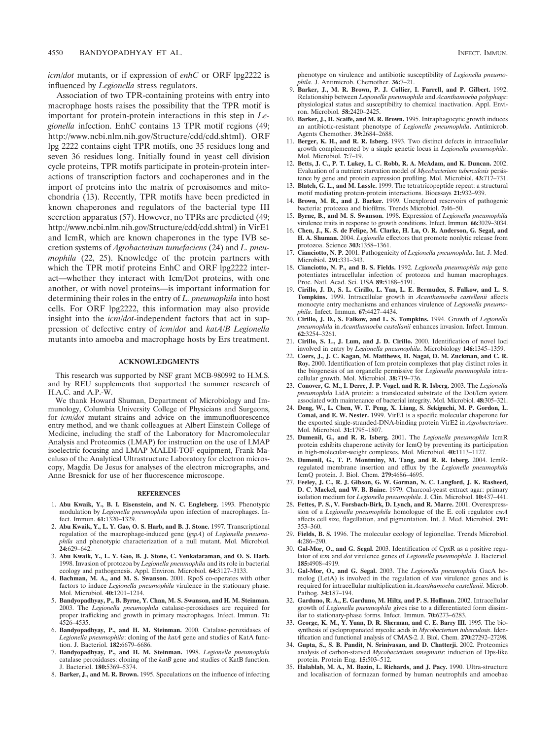*icm*/*dot* mutants, or if expression of *enhC* or ORF lpg2222 is influenced by *Legionella* stress regulators.

Association of two TPR-containing proteins with entry into macrophage hosts raises the possibility that the TPR motif is important for protein-protein interactions in this step in *Legionella* infection. EnhC contains 13 TPR motif regions (49; http://www.ncbi.nlm.nih.gov/Structure/cdd/cdd.shtml). ORF lpg 2222 contains eight TPR motifs, one 35 residues long and seven 36 residues long. Initially found in yeast cell division cycle proteins, TPR motifs participate in protein-protein interactions of transcription factors and cochaperones and in the import of proteins into the matrix of peroxisomes and mitochondria (13). Recently, TPR motifs have been predicted in known chaperones and regulators of the bacterial type III secretion apparatus (57). However, no TPRs are predicted (49; http://www.ncbi.nlm.nih.gov/Structure/cdd/cdd.shtml) in VirE1 and IcmR, which are known chaperones in the type IVB secretion systems of *Agrobacterium tumefaciens* (24) and *L. pneumophila* (22, 25). Knowledge of the protein partners with which the TPR motif proteins EnhC and ORF lpg2222 interact—whether they interact with Icm/Dot proteins, with one another, or with novel proteins—is important information for determining their roles in the entry of *L. pneumophila* into host cells. For ORF lpg2222, this information may also provide insight into the *icm*/*dot*-independent factors that act in suppression of defective entry of *icm*/*dot* and *katA*/*B Legionella* mutants into amoeba and macrophage hosts by Ers treatment.

## **ACKNOWLEDGMENTS**

This research was supported by NSF grant MCB-980992 to H.M.S. and by REU supplements that supported the summer research of H.A.C. and A.P.-W.

We thank Howard Shuman, Department of Microbiology and Immunology, Columbia University College of Physicians and Surgeons, for *icm*/*dot* mutant strains and advice on the immunofluorescence entry method, and we thank colleagues at Albert Einstein College of Medicine, including the staff of the Laboratory for Macromolecular Analysis and Proteomics (LMAP) for instruction on the use of LMAP isoelectric focusing and LMAP MALDI-TOF equipment, Frank Macaluso of the Analytical Ultrastructure Laboratory for electron microscopy, Magdia De Jesus for analyses of the electron micrographs, and Anne Bresnick for use of her fluorescence microscope.

### **REFERENCES**

- 1. **Abu Kwaik, Y., B. I. Eisenstein, and N. C. Engleberg.** 1993. Phenotypic modulation by *Legionella pneumophila* upon infection of macrophages. Infect. Immun. **61:**1320–1329.
- 2. **Abu Kwaik, Y., L. Y. Gao, O. S. Harb, and B. J. Stone.** 1997. Transcriptional regulation of the macrophage-induced gene (*gspA*) of *Legionella pneumophila* and phenotypic characterization of a null mutant. Mol. Microbiol. **24:**629–642.
- 3. **Abu Kwaik, Y., L. Y. Gao, B. J. Stone, C. Venkataraman, and O. S. Harb.** 1998. Invasion of protozoa by *Legionella pneumophila* and its role in bacterial ecology and pathogenesis. Appl. Environ. Microbiol. **64:**3127–3133.
- 4. **Bachman, M. A., and M. S. Swanson.** 2001. RpoS co-operates with other factors to induce *Legionella pneumophila* virulence in the stationary phase. Mol. Microbiol. **40:**1201–1214.
- 5. **Bandyopadhyay, P., B. Byrne, Y. Chan, M. S. Swanson, and H. M. Steinman.** 2003. The *Legionella pneumophila* catalase-peroxidases are required for proper trafficking and growth in primary macrophages. Infect. Immun. **71:**  $4526 - 4535$
- 6. **Bandyopadhyay, P., and H. M. Steinman.** 2000. Catalase-peroxidases of *Legionella pneumophila*: cloning of the *katA* gene and studies of KatA function. J. Bacteriol. **182:**6679–6686.
- 7. **Bandyopadhyay, P., and H. M. Steinman.** 1998. *Legionella pneumophila* catalase peroxidases: cloning of the *katB* gene and studies of KatB function. J. Bacteriol. **180:**5369–5374.
- 8. **Barker, J., and M. R. Brown.** 1995. Speculations on the influence of infecting

phenotype on virulence and antibiotic susceptibility of *Legionella pneumophila*. J. Antimicrob. Chemother. **36:**7–21.

- 9. **Barker, J., M. R. Brown, P. J. Collier, I. Farrell, and P. Gilbert.** 1992. Relationship between *Legionella pneumophila* and *Acanthamoeba polyphaga*: physiological status and susceptibility to chemical inactivation. Appl. Environ. Microbiol. **58:**2420–2425.
- 10. **Barker, J., H. Scaife, and M. R. Brown.** 1995. Intraphagocytic growth induces an antibiotic-resistant phenotype of *Legionella pneumophila*. Antimicrob. Agents Chemother. **39:**2684–2688.
- 11. **Berger, K. H., and R. R. Isberg.** 1993. Two distinct defects in intracellular growth complemented by a single genetic locus in *Legionella pneumophila*. Mol. Microbiol. **7:**7–19.
- 12. **Betts, J. C., P. T. Lukey, L. C. Robb, R. A. McAdam, and K. Duncan.** 2002. Evaluation of a nutrient starvation model of *Mycobacterium tuberculosis* persistence by gene and protein expression profiling. Mol. Microbiol. **43:**717–731.
- 13. **Blatch, G. L., and M. Lassle.** 1999. The tetratricopeptide repeat: a structural motif mediating protein-protein interactions. Bioessays **21:**932–939.
- 14. **Brown, M. R., and J. Barker.** 1999. Unexplored reservoirs of pathogenic bacteria: protozoa and biofilms. Trends Microbiol. **7:**46–50.
- 15. **Byrne, B., and M. S. Swanson.** 1998. Expression of *Legionella pneumophila* virulence traits in response to growth conditions. Infect. Immun. **66:**3029–3034.
- 16. **Chen, J., K. S. de Felipe, M. Clarke, H. Lu, O. R. Anderson, G. Segal, and H. A. Shuman.** 2004. *Legionella* effectors that promote nonlytic release from protozoa. Science **303:**1358–1361.
- 17. **Cianciotto, N. P.** 2001. Pathogenicity of *Legionella pneumophila*. Int. J. Med. Microbiol. **291:**331–343.
- 18. **Cianciotto, N. P., and B. S. Fields.** 1992. *Legionella pneumophila mip* gene potentiates intracellular infection of protozoa and human macrophages. Proc. Natl. Acad. Sci. USA **89:**5188–5191.
- 19. **Cirillo, J. D., S. L. Cirillo, L. Yan, L. E. Bermudez, S. Falkow, and L. S. Tompkins.** 1999. Intracellular growth in *Acanthamoeba castellanii* affects monocyte entry mechanisms and enhances virulence of *Legionella pneumophila*. Infect. Immun. **67:**4427–4434.
- 20. **Cirillo, J. D., S. Falkow, and L. S. Tompkins.** 1994. Growth of *Legionella pneumophila* in *Acanthamoeba castellanii* enhances invasion. Infect. Immun. **62:**3254–3261.
- 21. **Cirillo, S. L., J. Lum, and J. D. Cirillo.** 2000. Identification of novel loci involved in entry by *Legionella pneumophila*. Microbiology **146:**1345–1359.
- 22. **Coers, J., J. C. Kagan, M. Matthews, H. Nagai, D. M. Zuckman, and C. R. Roy.** 2000. Identification of Icm protein complexes that play distinct roles in the biogenesis of an organelle permissive for *Legionella pneumophila* intracellular growth. Mol. Microbiol. **38:**719–736.
- 23. **Conover, G. M., I. Derre, J. P. Vogel, and R. R. Isberg.** 2003. The *Legionella pneumophila* LidA protein: a translocated substrate of the Dot/Icm system associated with maintenance of bacterial integrity. Mol. Microbiol. **48:**305–321.
- 24. **Deng, W., L. Chen, W. T. Peng, X. Liang, S. Sekiguchi, M. P. Gordon, L. Comai, and E. W. Nester.** 1999. VirE1 is a specific molecular chaperone for the exported single-stranded-DNA-binding protein VirE2 in *Agrobacterium*. Mol. Microbiol. **31:**1795–1807.
- 25. **Dumenil, G., and R. R. Isberg.** 2001. The *Legionella pneumophila* IcmR protein exhibits chaperone activity for IcmQ by preventing its participation in high-molecular-weight complexes. Mol. Microbiol. **40:**1113–1127.
- 26. **Dumenil, G., T. P. Montminy, M. Tang, and R. R. Isberg.** 2004. IcmRregulated membrane insertion and efflux by the *Legionella pneumophila* IcmQ protein. J. Biol. Chem. **279:**4686–4695.
- 27. **Feeley, J. C., R. J. Gibson, G. W. Gorman, N. C. Langford, J. K. Rasheed, D. C. Mackel, and W. B. Baine.** 1979. Charcoal-yeast extract agar: primary isolation medium for *Legionella pneumophila*. J. Clin. Microbiol. **10:**437–441.
- 28. **Fettes, P. S., V. Forsbach-Birk, D. Lynch, and R. Marre.** 2001. Overexpresssion of a *Legionella pneumophila* homologue of the E. coli regulator *csrA* affects cell size, flagellation, and pigmentation. Int. J. Med. Microbiol. **291:** 353–360.
- 29. **Fields, B. S.** 1996. The molecular ecology of legionellae. Trends Microbiol. **4:**286–290.
- 30. **Gal-Mor, O., and G. Segal.** 2003. Identification of CpxR as a positive regulator of *icm* and *dot* virulence genes of *Legionella pneumophila*. J. Bacteriol. **185:**4908–4919.
- 31. **Gal-Mor, O., and G. Segal.** 2003. The *Legionella pneumophila* GacA homolog (LetA) is involved in the regulation of *icm* virulence genes and is required for intracellular multiplication in *Acanthamoeba castellanii*. Microb. Pathog. **34:**187–194.
- 32. **Garduno, R. A., E. Garduno, M. Hiltz, and P. S. Hoffman.** 2002. Intracellular growth of *Legionella pneumophila* gives rise to a differentiated form dissimilar to stationary-phase forms. Infect. Immun. **70:**6273–6283.
- 33. **George, K. M., Y. Yuan, D. R. Sherman, and C. E. Barry III.** 1995. The biosynthesis of cyclopropanated mycolic acids in *Mycobacterium tuberculosis*. Identification and functional analysis of CMAS-2. J. Biol. Chem. **270:**27292–27298.
- 34. **Gupta, S., S. B. Pandit, N. Srinivasan, and D. Chatterji.** 2002. Proteomics analysis of carbon-starved *Mycobacterium smegmatis*: induction of Dps-like protein. Protein Eng. **15:**503–512.
- 35. **Halablab, M. A., M. Bazin, L. Richards, and J. Pacy.** 1990. Ultra-structure and localisation of formazan formed by human neutrophils and amoebae